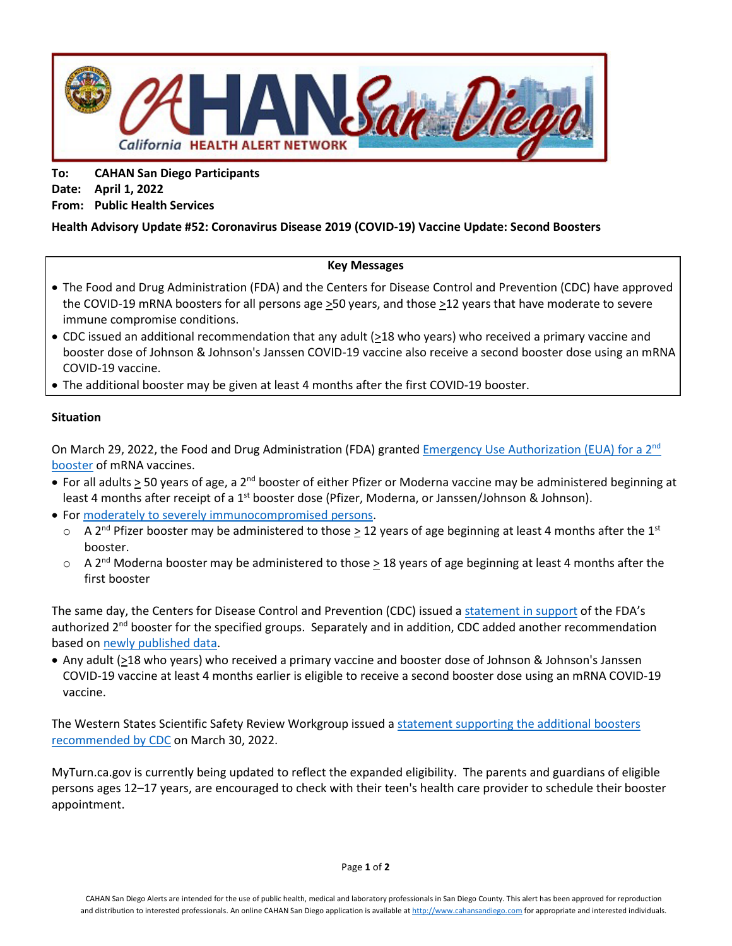

**To: CAHAN San Diego Participants Date: April 1, 2022 From: Public Health Services**

# **Health Advisory Update #52: Coronavirus Disease 2019 (COVID-19) Vaccine Update: Second Boosters**

## **Key Messages**

- The Food and Drug Administration (FDA) and the Centers for Disease Control and Prevention (CDC) have approved the COVID-19 mRNA boosters for all persons age >50 years, and those >12 years that have moderate to severe immune compromise conditions.
- CDC issued an additional recommendation that any adult (>18 who years) who received a primary vaccine and booster dose of Johnson & Johnson's Janssen COVID-19 vaccine also receive a second booster dose using an mRNA COVID-19 vaccine.
- The additional booster may be given at least 4 months after the first COVID-19 booster.

## **Situation**

On March 29, 2022, the Food and Drug Administration (FDA) granted Emergency Use Authorization (EUA) for a 2<sup>nd</sup> [booster](https://www.fda.gov/news-events/press-announcements/coronavirus-covid-19-update-fda-authorizes-second-booster-dose-two-covid-19-vaccines-older-and) of mRNA vaccines.

- For all adults > 50 years of age, a 2<sup>nd</sup> booster of either Pfizer or Moderna vaccine may be administered beginning at least 4 months after receipt of a  $1<sup>st</sup>$  booster dose (Pfizer, Moderna, or Janssen/Johnson & Johnson).
- Fo[r moderately to severely immunocompromised](https://www.cdc.gov/vaccines/covid-19/clinical-considerations/interim-considerations-us.html#immunocompromised) persons.
	- $\circ$  A 2<sup>nd</sup> Pfizer booster may be administered to those > 12 years of age beginning at least 4 months after the 1<sup>st</sup> booster.
	- $\circ$  A 2<sup>nd</sup> Moderna booster may be administered to those  $\geq$  18 years of age beginning at least 4 months after the first booster

The same day, the Centers for Disease Control and Prevention (CDC) issued a [statement in support](https://www.cdc.gov/media/releases/2022/s0328-covid-19-boosters.html) of the FDA's authorized  $2^{nd}$  booster for the specified groups. Separately and in addition, CDC added another recommendation based o[n newly published data.](https://www.cdc.gov/mmwr/volumes/71/wr/mm7113e2.htm?s_cid=mm7113e2_w)

• Any adult (>18 who years) who received a primary vaccine and booster dose of Johnson & Johnson's Janssen COVID-19 vaccine at least 4 months earlier is eligible to receive a second booster dose using an mRNA COVID-19 vaccine.

The Western States Scientific Safety Review Workgroup issued [a statement supporting the additional boosters](https://www.cdph.ca.gov/Programs/CID/DCDC/Pages/COVID-19/Western-States-Meeting-3-29-2022.aspx) recommended by CDC on March 30, 2022.

MyTurn.ca.gov is currently being updated to reflect the expanded eligibility. The parents and guardians of eligible persons ages 12–17 years, are encouraged to check with their teen's health care provider to schedule their booster appointment.